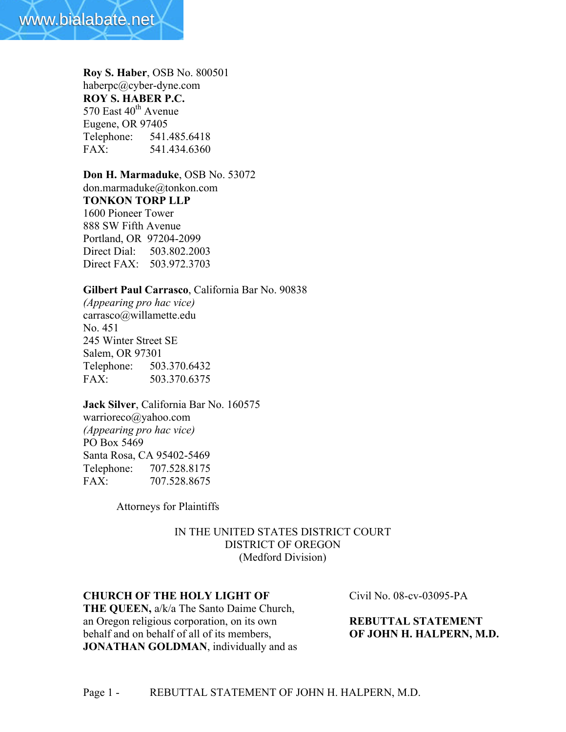

**Roy S. Haber**, OSB No. 800501 haberpc@cyber-dyne.com **ROY S. HABER P.C.** 570 East  $40^{th}$  Avenue Eugene, OR 97405 Telephone: 541.485.6418 FAX: 541.434.6360

**Don H. Marmaduke**, OSB No. 53072 don.marmaduke@tonkon.com **TONKON TORP LLP** 1600 Pioneer Tower 888 SW Fifth Avenue Portland, OR 97204-2099 Direct Dial: 503.802.2003 Direct FAX: 503.972.3703

# **Gilbert Paul Carrasco**, California Bar No. 90838

*(Appearing pro hac vice)* carrasco@willamette.edu No. 451 245 Winter Street SE Salem, OR 97301 Telephone: 503.370.6432 FAX: 503.370.6375

**Jack Silver**, California Bar No. 160575 warrioreco@yahoo.com *(Appearing pro hac vice)* PO Box 5469 Santa Rosa, CA 95402-5469 Telephone: 707.528.8175 FAX: 707.528.8675

Attorneys for Plaintiffs

# IN THE UNITED STATES DISTRICT COURT DISTRICT OF OREGON (Medford Division)

## **CHURCH OF THE HOLY LIGHT OF** Civil No. 08-cv-03095-PA

**THE QUEEN,** a/k/a The Santo Daime Church, an Oregon religious corporation, on its own **REBUTTAL STATEMENT**  behalf and on behalf of all of its members, **OF JOHN H. HALPERN, M.D. JONATHAN GOLDMAN**, individually and as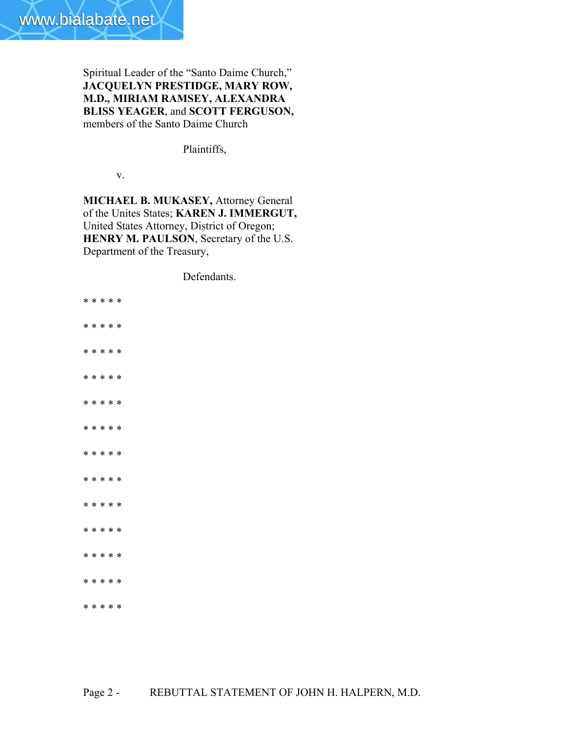

Spiritual Leader of the "Santo Daime Church," **JACQUELYN PRESTIDGE, MARY ROW, M.D., MIRIAM RAMSEY, ALEXANDRA BLISS YEAGER**, and **SCOTT FERGUSON,** members of the Santo Daime Church

Plaintiffs,

v.

**MICHAEL B. MUKASEY,** Attorney General of the Unites States; **KAREN J. IMMERGUT,** United States Attorney, District of Oregon; **HENRY M. PAULSON**, Secretary of the U.S. Department of the Treasury,

Defendants.

\* \* \* \* \* \* \* \* \* \* \* \* \* \* \* \* \* \* \* \* \* \* \* \* \* \* \* \* \* \* \* \* \* \* \* \* \* \* \* \* \* \* \* \* \* \* \* \* \* \* \* \* \* \* \* \* \* \* \* \* \* \* \* \* \*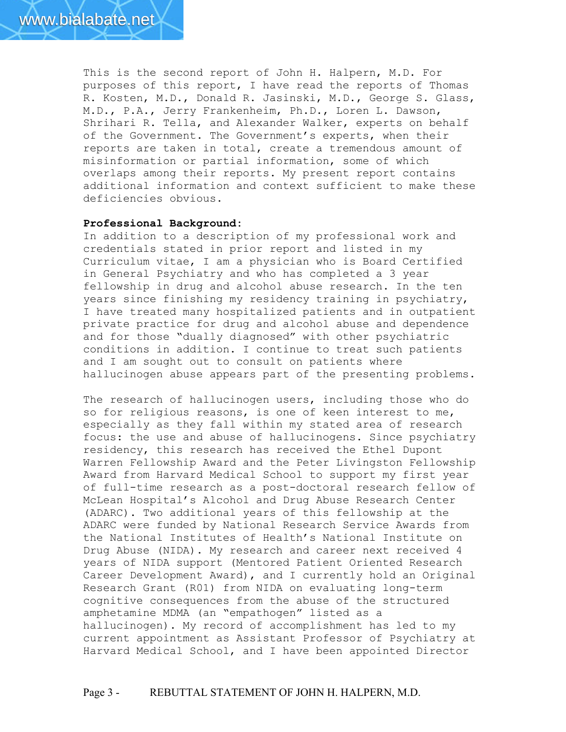This is the second report of John H. Halpern, M.D. For purposes of this report, I have read the reports of Thomas R. Kosten, M.D., Donald R. Jasinski, M.D., George S. Glass, M.D., P.A., Jerry Frankenheim, Ph.D., Loren L. Dawson, Shrihari R. Tella, and Alexander Walker, experts on behalf of the Government. The Government's experts, when their reports are taken in total, create a tremendous amount of misinformation or partial information, some of which overlaps among their reports. My present report contains additional information and context sufficient to make these deficiencies obvious.

## **Professional Background:**

In addition to a description of my professional work and credentials stated in prior report and listed in my Curriculum vitae, I am a physician who is Board Certified in General Psychiatry and who has completed a 3 year fellowship in drug and alcohol abuse research. In the ten years since finishing my residency training in psychiatry, I have treated many hospitalized patients and in outpatient private practice for drug and alcohol abuse and dependence and for those "dually diagnosed" with other psychiatric conditions in addition. I continue to treat such patients and I am sought out to consult on patients where hallucinogen abuse appears part of the presenting problems.

The research of hallucinogen users, including those who do so for religious reasons, is one of keen interest to me, especially as they fall within my stated area of research focus: the use and abuse of hallucinogens. Since psychiatry residency, this research has received the Ethel Dupont Warren Fellowship Award and the Peter Livingston Fellowship Award from Harvard Medical School to support my first year of full-time research as a post-doctoral research fellow of McLean Hospital's Alcohol and Drug Abuse Research Center (ADARC). Two additional years of this fellowship at the ADARC were funded by National Research Service Awards from the National Institutes of Health's National Institute on Drug Abuse (NIDA). My research and career next received 4 years of NIDA support (Mentored Patient Oriented Research Career Development Award), and I currently hold an Original Research Grant (R01) from NIDA on evaluating long-term cognitive consequences from the abuse of the structured amphetamine MDMA (an "empathogen" listed as a hallucinogen). My record of accomplishment has led to my current appointment as Assistant Professor of Psychiatry at Harvard Medical School, and I have been appointed Director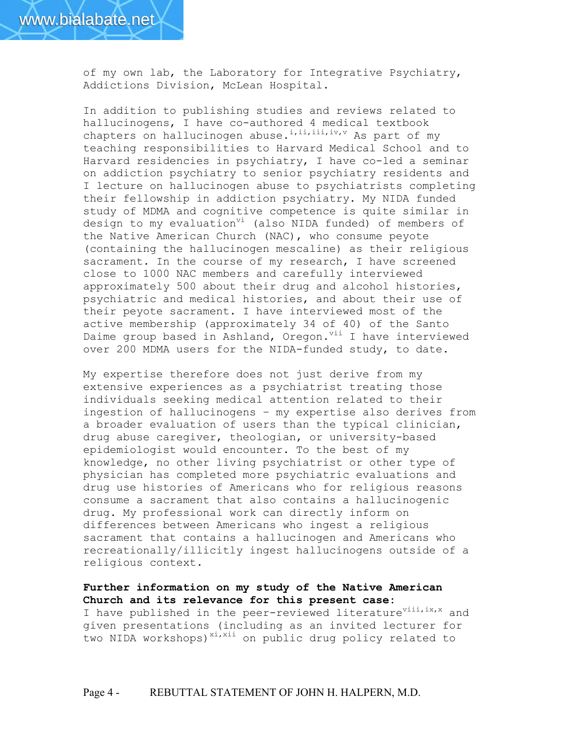

of my own lab, the Laboratory for Integrative Psychiatry, Addictions Division, McLean Hospital.

In addition to publishing studies and reviews related to hallucinogens, I have co-authored 4 medical textbook chapters on hallucinogen abuse.<sup>i,ii,iii,iv,v</sup> As part of my teaching responsibilities to Harvard Medical School and to Harvard residencies in psychiatry, I have co-led a seminar on addiction psychiatry to senior psychiatry residents and I lecture on hallucinogen abuse to psychiatrists completing their fellowship in addiction psychiatry. My NIDA funded study of MDMA and cognitive competence is quite similar in design to my evaluation<sup>vi</sup> (also NIDA funded) of members of the Native American Church (NAC), who consume peyote (containing the hallucinogen mescaline) as their religious sacrament. In the course of my research, I have screened close to 1000 NAC members and carefully interviewed approximately 500 about their drug and alcohol histories, psychiatric and medical histories, and about their use of their peyote sacrament. I have interviewed most of the active membership (approximately 34 of 40) of the Santo Daime group based in Ashland, Oregon. Vil I have interviewed over 200 MDMA users for the NIDA-funded study, to date.

My expertise therefore does not just derive from my extensive experiences as a psychiatrist treating those individuals seeking medical attention related to their ingestion of hallucinogens – my expertise also derives from a broader evaluation of users than the typical clinician, drug abuse caregiver, theologian, or university-based epidemiologist would encounter. To the best of my knowledge, no other living psychiatrist or other type of physician has completed more psychiatric evaluations and drug use histories of Americans who for religious reasons consume a sacrament that also contains a hallucinogenic drug. My professional work can directly inform on differences between Americans who ingest a religious sacrament that contains a hallucinogen and Americans who recreationally/illicitly ingest hallucinogens outside of a religious context.

## **Further information on my study of the Native American Church and its relevance for this present case:**

I have published in the peer-reviewed literature<sup>viii,ix,x</sup> and given presentations (including as an invited lecturer for two NIDA workshops)<sup>xi,xii</sup> on public drug policy related to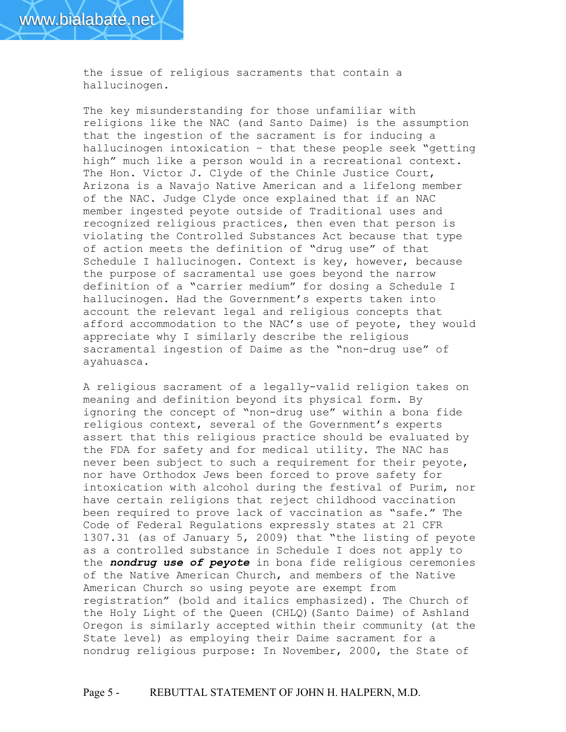the issue of religious sacraments that contain a hallucinogen.

The key misunderstanding for those unfamiliar with religions like the NAC (and Santo Daime) is the assumption that the ingestion of the sacrament is for inducing a hallucinogen intoxication – that these people seek "getting high" much like a person would in a recreational context. The Hon. Victor J. Clyde of the Chinle Justice Court, Arizona is a Navajo Native American and a lifelong member of the NAC. Judge Clyde once explained that if an NAC member ingested peyote outside of Traditional uses and recognized religious practices, then even that person is violating the Controlled Substances Act because that type of action meets the definition of "drug use" of that Schedule I hallucinogen. Context is key, however, because the purpose of sacramental use goes beyond the narrow definition of a "carrier medium" for dosing a Schedule I hallucinogen. Had the Government's experts taken into account the relevant legal and religious concepts that afford accommodation to the NAC's use of peyote, they would appreciate why I similarly describe the religious sacramental ingestion of Daime as the "non-drug use" of ayahuasca.

A religious sacrament of a legally-valid religion takes on meaning and definition beyond its physical form. By ignoring the concept of "non-drug use" within a bona fide religious context, several of the Government's experts assert that this religious practice should be evaluated by the FDA for safety and for medical utility. The NAC has never been subject to such a requirement for their peyote, nor have Orthodox Jews been forced to prove safety for intoxication with alcohol during the festival of Purim, nor have certain religions that reject childhood vaccination been required to prove lack of vaccination as "safe." The Code of Federal Regulations expressly states at 21 CFR 1307.31 (as of January 5, 2009) that "the listing of peyote as a controlled substance in Schedule I does not apply to the *nondrug use of peyote* in bona fide religious ceremonies of the Native American Church, and members of the Native American Church so using peyote are exempt from registration" (bold and italics emphasized). The Church of the Holy Light of the Queen (CHLQ)(Santo Daime) of Ashland Oregon is similarly accepted within their community (at the State level) as employing their Daime sacrament for a nondrug religious purpose: In November, 2000, the State of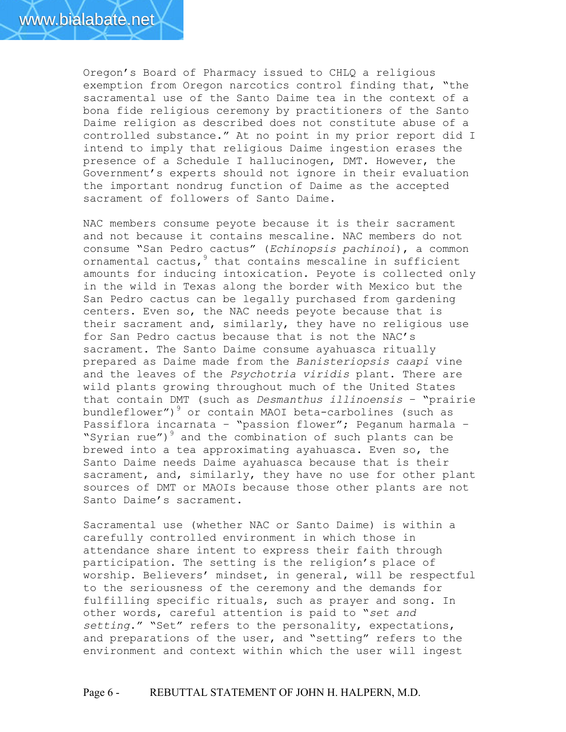

Oregon's Board of Pharmacy issued to CHLQ a religious exemption from Oregon narcotics control finding that, "the sacramental use of the Santo Daime tea in the context of a bona fide religious ceremony by practitioners of the Santo Daime religion as described does not constitute abuse of a controlled substance." At no point in my prior report did I intend to imply that religious Daime ingestion erases the presence of a Schedule I hallucinogen, DMT. However, the Government's experts should not ignore in their evaluation the important nondrug function of Daime as the accepted sacrament of followers of Santo Daime.

NAC members consume peyote because it is their sacrament and not because it contains mescaline. NAC members do not consume "San Pedro cactus" (*Echinopsis pachinoi*), a common ornamental cactus, <sup>9</sup> that contains mescaline in sufficient amounts for inducing intoxication. Peyote is collected only in the wild in Texas along the border with Mexico but the San Pedro cactus can be legally purchased from gardening centers. Even so, the NAC needs peyote because that is their sacrament and, similarly, they have no religious use for San Pedro cactus because that is not the NAC's sacrament. The Santo Daime consume ayahuasca ritually prepared as Daime made from the *Banisteriopsis caapi* vine and the leaves of the *Psychotria viridis* plant. There are wild plants growing throughout much of the United States that contain DMT (such as *Desmanthus illinoensis* – "prairie bundleflower") $^9$  or contain MAOI beta-carbolines (such as Passiflora incarnata – "passion flower"; Peganum harmala – "Syrian rue")<sup>9</sup> and the combination of such plants can be brewed into a tea approximating ayahuasca. Even so, the Santo Daime needs Daime ayahuasca because that is their sacrament, and, similarly, they have no use for other plant sources of DMT or MAOIs because those other plants are not Santo Daime's sacrament.

Sacramental use (whether NAC or Santo Daime) is within a carefully controlled environment in which those in attendance share intent to express their faith through participation. The setting is the religion's place of worship. Believers' mindset, in general, will be respectful to the seriousness of the ceremony and the demands for fulfilling specific rituals, such as prayer and song. In other words, careful attention is paid to "*set and setting*." "Set" refers to the personality, expectations, and preparations of the user, and "setting" refers to the environment and context within which the user will ingest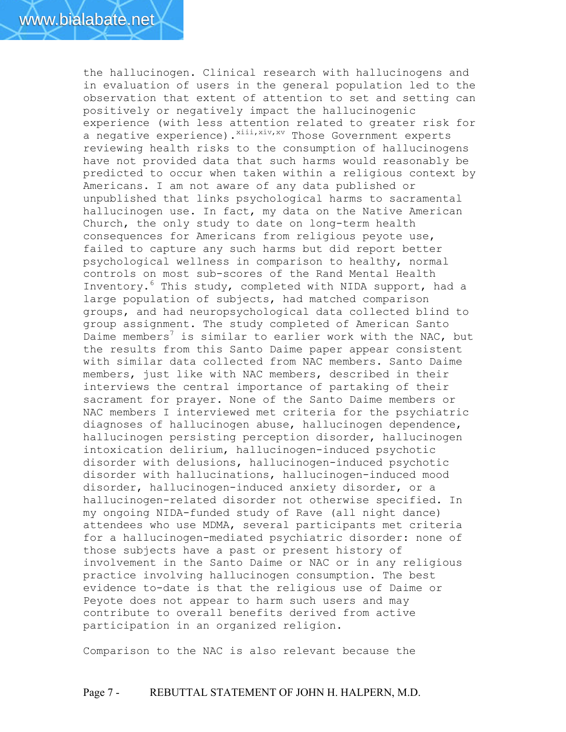the hallucinogen. Clinical research with hallucinogens and in evaluation of users in the general population led to the observation that extent of attention to set and setting can positively or negatively impact the hallucinogenic experience (with less attention related to greater risk for a negative experience).<sup>xiii,xiv,xv</sup> Those Government experts reviewing health risks to the consumption of hallucinogens have not provided data that such harms would reasonably be predicted to occur when taken within a religious context by Americans. I am not aware of any data published or unpublished that links psychological harms to sacramental hallucinogen use. In fact, my data on the Native American Church, the only study to date on long-term health consequences for Americans from religious peyote use, failed to capture any such harms but did report better psychological wellness in comparison to healthy, normal controls on most sub-scores of the Rand Mental Health Inventory.<sup>6</sup> This study, completed with NIDA support, had a large population of subjects, had matched comparison groups, and had neuropsychological data collected blind to group assignment. The study completed of American Santo Daime members<sup>7</sup> is similar to earlier work with the NAC, but the results from this Santo Daime paper appear consistent with similar data collected from NAC members. Santo Daime members, just like with NAC members, described in their interviews the central importance of partaking of their sacrament for prayer. None of the Santo Daime members or NAC members I interviewed met criteria for the psychiatric diagnoses of hallucinogen abuse, hallucinogen dependence, hallucinogen persisting perception disorder, hallucinogen intoxication delirium, hallucinogen-induced psychotic disorder with delusions, hallucinogen-induced psychotic disorder with hallucinations, hallucinogen-induced mood disorder, hallucinogen-induced anxiety disorder, or a hallucinogen-related disorder not otherwise specified. In my ongoing NIDA-funded study of Rave (all night dance) attendees who use MDMA, several participants met criteria for a hallucinogen-mediated psychiatric disorder: none of those subjects have a past or present history of involvement in the Santo Daime or NAC or in any religious practice involving hallucinogen consumption. The best evidence to-date is that the religious use of Daime or Peyote does not appear to harm such users and may contribute to overall benefits derived from active participation in an organized religion.

Comparison to the NAC is also relevant because the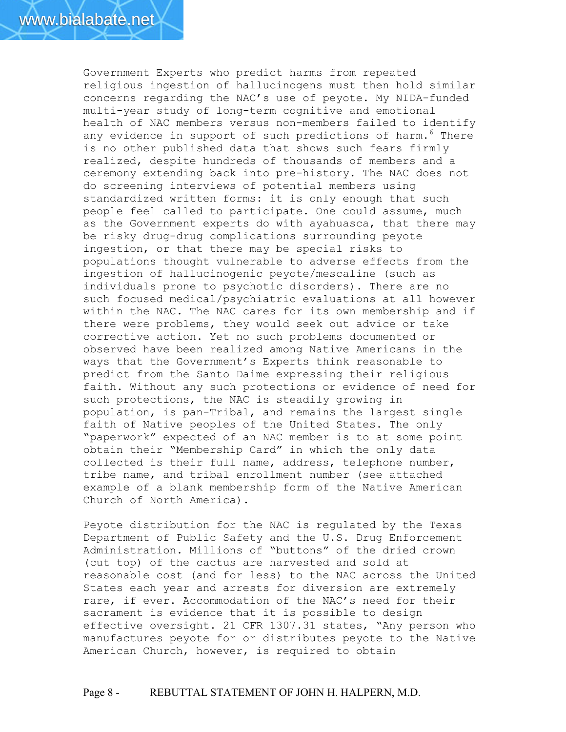Government Experts who predict harms from repeated religious ingestion of hallucinogens must then hold similar concerns regarding the NAC's use of peyote. My NIDA-funded multi-year study of long-term cognitive and emotional health of NAC members versus non-members failed to identify any evidence in support of such predictions of harm.<sup>6</sup> There is no other published data that shows such fears firmly realized, despite hundreds of thousands of members and a ceremony extending back into pre-history. The NAC does not do screening interviews of potential members using standardized written forms: it is only enough that such people feel called to participate. One could assume, much as the Government experts do with ayahuasca, that there may be risky drug-drug complications surrounding peyote ingestion, or that there may be special risks to populations thought vulnerable to adverse effects from the ingestion of hallucinogenic peyote/mescaline (such as individuals prone to psychotic disorders). There are no such focused medical/psychiatric evaluations at all however within the NAC. The NAC cares for its own membership and if there were problems, they would seek out advice or take corrective action. Yet no such problems documented or observed have been realized among Native Americans in the ways that the Government's Experts think reasonable to predict from the Santo Daime expressing their religious faith. Without any such protections or evidence of need for such protections, the NAC is steadily growing in population, is pan-Tribal, and remains the largest single faith of Native peoples of the United States. The only "paperwork" expected of an NAC member is to at some point obtain their "Membership Card" in which the only data collected is their full name, address, telephone number, tribe name, and tribal enrollment number (see attached example of a blank membership form of the Native American Church of North America).

Peyote distribution for the NAC is regulated by the Texas Department of Public Safety and the U.S. Drug Enforcement Administration. Millions of "buttons" of the dried crown (cut top) of the cactus are harvested and sold at reasonable cost (and for less) to the NAC across the United States each year and arrests for diversion are extremely rare, if ever. Accommodation of the NAC's need for their sacrament is evidence that it is possible to design effective oversight. 21 CFR 1307.31 states, "Any person who manufactures peyote for or distributes peyote to the Native American Church, however, is required to obtain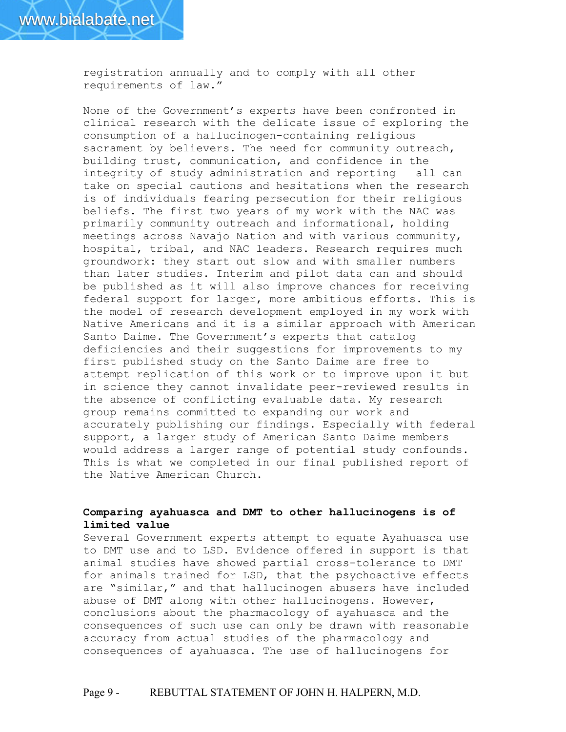registration annually and to comply with all other requirements of law."

None of the Government's experts have been confronted in clinical research with the delicate issue of exploring the consumption of a hallucinogen-containing religious sacrament by believers. The need for community outreach, building trust, communication, and confidence in the integrity of study administration and reporting – all can take on special cautions and hesitations when the research is of individuals fearing persecution for their religious beliefs. The first two years of my work with the NAC was primarily community outreach and informational, holding meetings across Navajo Nation and with various community, hospital, tribal, and NAC leaders. Research requires much groundwork: they start out slow and with smaller numbers than later studies. Interim and pilot data can and should be published as it will also improve chances for receiving federal support for larger, more ambitious efforts. This is the model of research development employed in my work with Native Americans and it is a similar approach with American Santo Daime. The Government's experts that catalog deficiencies and their suggestions for improvements to my first published study on the Santo Daime are free to attempt replication of this work or to improve upon it but in science they cannot invalidate peer-reviewed results in the absence of conflicting evaluable data. My research group remains committed to expanding our work and accurately publishing our findings. Especially with federal support, a larger study of American Santo Daime members would address a larger range of potential study confounds. This is what we completed in our final published report of the Native American Church.

## **Comparing ayahuasca and DMT to other hallucinogens is of limited value**

Several Government experts attempt to equate Ayahuasca use to DMT use and to LSD. Evidence offered in support is that animal studies have showed partial cross-tolerance to DMT for animals trained for LSD, that the psychoactive effects are "similar," and that hallucinogen abusers have included abuse of DMT along with other hallucinogens. However, conclusions about the pharmacology of ayahuasca and the consequences of such use can only be drawn with reasonable accuracy from actual studies of the pharmacology and consequences of ayahuasca. The use of hallucinogens for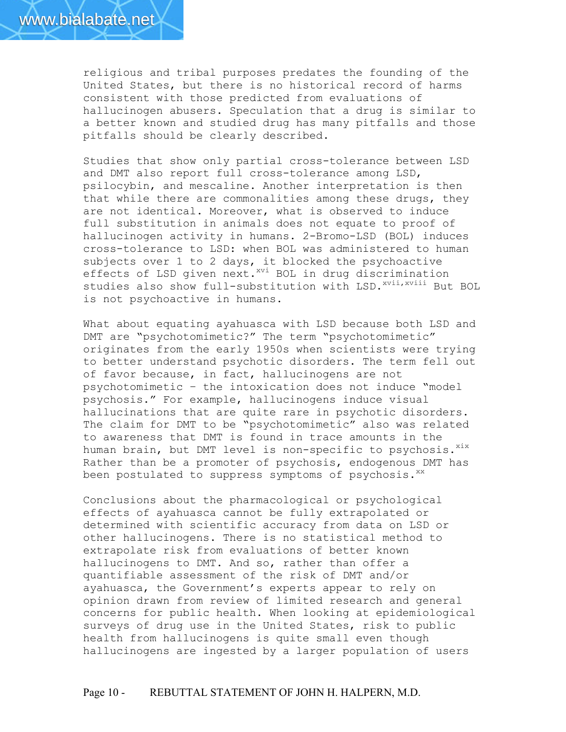religious and tribal purposes predates the founding of the United States, but there is no historical record of harms consistent with those predicted from evaluations of hallucinogen abusers. Speculation that a drug is similar to a better known and studied drug has many pitfalls and those pitfalls should be clearly described.

Studies that show only partial cross-tolerance between LSD and DMT also report full cross-tolerance among LSD, psilocybin, and mescaline. Another interpretation is then that while there are commonalities among these drugs, they are not identical. Moreover, what is observed to induce full substitution in animals does not equate to proof of hallucinogen activity in humans. 2-Bromo-LSD (BOL) induces cross-tolerance to LSD: when BOL was administered to human subjects over 1 to 2 days, it blocked the psychoactive effects of LSD given next. xvi BOL in drug discrimination studies also show full-substitution with LSD.<sup>xvii,xviii</sup> But BOL is not psychoactive in humans.

What about equating ayahuasca with LSD because both LSD and DMT are "psychotomimetic?" The term "psychotomimetic" originates from the early 1950s when scientists were trying to better understand psychotic disorders. The term fell out of favor because, in fact, hallucinogens are not psychotomimetic – the intoxication does not induce "model psychosis." For example, hallucinogens induce visual hallucinations that are quite rare in psychotic disorders. The claim for DMT to be "psychotomimetic" also was related to awareness that DMT is found in trace amounts in the human brain, but DMT level is non-specific to psychosis.<sup>xix</sup> Rather than be a promoter of psychosis, endogenous DMT has been postulated to suppress symptoms of psychosis. $^{xx}$ 

Conclusions about the pharmacological or psychological effects of ayahuasca cannot be fully extrapolated or determined with scientific accuracy from data on LSD or other hallucinogens. There is no statistical method to extrapolate risk from evaluations of better known hallucinogens to DMT. And so, rather than offer a quantifiable assessment of the risk of DMT and/or ayahuasca, the Government's experts appear to rely on opinion drawn from review of limited research and general concerns for public health. When looking at epidemiological surveys of drug use in the United States, risk to public health from hallucinogens is quite small even though hallucinogens are ingested by a larger population of users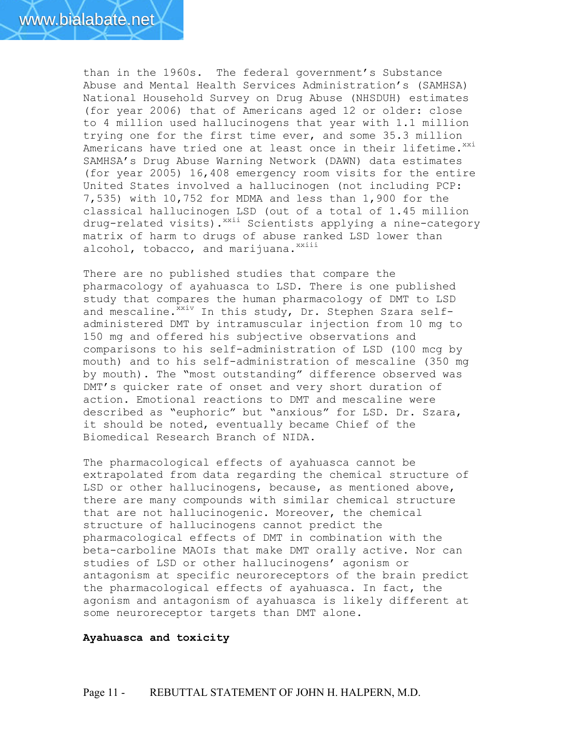than in the 1960s. The federal government's Substance Abuse and Mental Health Services Administration's (SAMHSA) National Household Survey on Drug Abuse (NHSDUH) estimates (for year 2006) that of Americans aged 12 or older: close to 4 million used hallucinogens that year with 1.1 million trying one for the first time ever, and some 35.3 million Americans have tried one at least once in their lifetime.<sup>xxi</sup> SAMHSA's Drug Abuse Warning Network (DAWN) data estimates (for year 2005) 16,408 emergency room visits for the entire United States involved a hallucinogen (not including PCP: 7,535) with 10,752 for MDMA and less than 1,900 for the classical hallucinogen LSD (out of a total of 1.45 million drug-related visits).<sup>xxii</sup> Scientists applying a nine-category matrix of harm to drugs of abuse ranked LSD lower than alcohol, tobacco, and marijuana. $^{xxiii}$ 

There are no published studies that compare the pharmacology of ayahuasca to LSD. There is one published study that compares the human pharmacology of DMT to LSD and mescaline.<sup>xxiv</sup> In this study, Dr. Stephen Szara selfadministered DMT by intramuscular injection from 10 mg to 150 mg and offered his subjective observations and comparisons to his self-administration of LSD (100 mcg by mouth) and to his self-administration of mescaline (350 mg by mouth). The "most outstanding" difference observed was DMT's quicker rate of onset and very short duration of action. Emotional reactions to DMT and mescaline were described as "euphoric" but "anxious" for LSD. Dr. Szara, it should be noted, eventually became Chief of the Biomedical Research Branch of NIDA.

The pharmacological effects of ayahuasca cannot be extrapolated from data regarding the chemical structure of LSD or other hallucinogens, because, as mentioned above, there are many compounds with similar chemical structure that are not hallucinogenic. Moreover, the chemical structure of hallucinogens cannot predict the pharmacological effects of DMT in combination with the beta-carboline MAOIs that make DMT orally active. Nor can studies of LSD or other hallucinogens' agonism or antagonism at specific neuroreceptors of the brain predict the pharmacological effects of ayahuasca. In fact, the agonism and antagonism of ayahuasca is likely different at some neuroreceptor targets than DMT alone.

### **Ayahuasca and toxicity**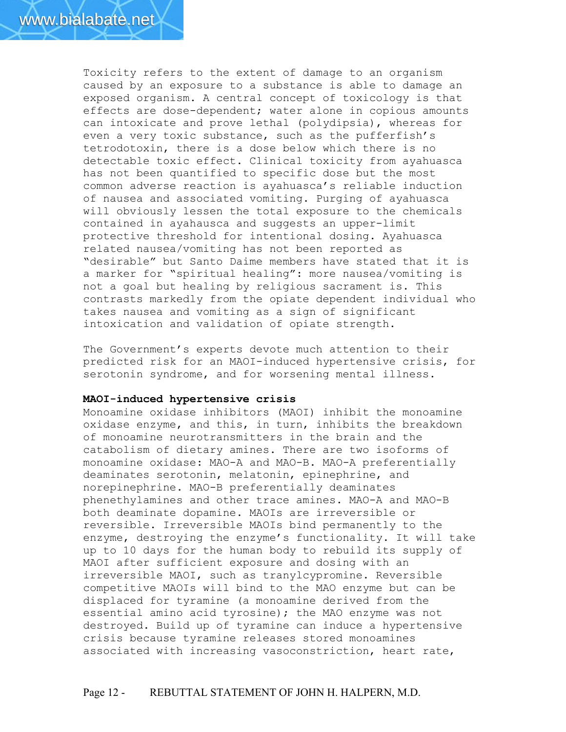Toxicity refers to the extent of damage to an organism caused by an exposure to a substance is able to damage an exposed organism. A central concept of toxicology is that effects are dose-dependent; water alone in copious amounts can intoxicate and prove lethal (polydipsia), whereas for even a very toxic substance, such as the pufferfish's tetrodotoxin, there is a dose below which there is no detectable toxic effect. Clinical toxicity from ayahuasca has not been quantified to specific dose but the most common adverse reaction is ayahuasca's reliable induction of nausea and associated vomiting. Purging of ayahuasca will obviously lessen the total exposure to the chemicals contained in ayahausca and suggests an upper-limit protective threshold for intentional dosing. Ayahuasca related nausea/vomiting has not been reported as "desirable" but Santo Daime members have stated that it is a marker for "spiritual healing": more nausea/vomiting is not a goal but healing by religious sacrament is. This contrasts markedly from the opiate dependent individual who takes nausea and vomiting as a sign of significant intoxication and validation of opiate strength.

The Government's experts devote much attention to their predicted risk for an MAOI-induced hypertensive crisis, for serotonin syndrome, and for worsening mental illness.

#### **MAOI-induced hypertensive crisis**

Monoamine oxidase inhibitors (MAOI) inhibit the monoamine oxidase enzyme, and this, in turn, inhibits the breakdown of monoamine neurotransmitters in the brain and the catabolism of dietary amines. There are two isoforms of monoamine oxidase: MAO-A and MAO-B. MAO-A preferentially deaminates serotonin, melatonin, epinephrine, and norepinephrine. MAO-B preferentially deaminates phenethylamines and other trace amines. MAO-A and MAO-B both deaminate dopamine. MAOIs are irreversible or reversible. Irreversible MAOIs bind permanently to the enzyme, destroying the enzyme's functionality. It will take up to 10 days for the human body to rebuild its supply of MAOI after sufficient exposure and dosing with an irreversible MAOI, such as tranylcypromine. Reversible competitive MAOIs will bind to the MAO enzyme but can be displaced for tyramine (a monoamine derived from the essential amino acid tyrosine); the MAO enzyme was not destroyed. Build up of tyramine can induce a hypertensive crisis because tyramine releases stored monoamines associated with increasing vasoconstriction, heart rate,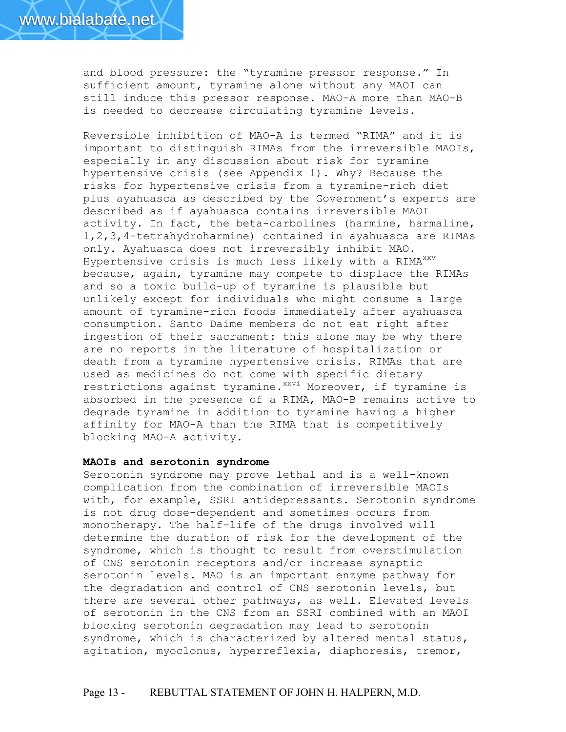and blood pressure: the "tyramine pressor response." In sufficient amount, tyramine alone without any MAOI can still induce this pressor response. MAO-A more than MAO-B is needed to decrease circulating tyramine levels.

Reversible inhibition of MAO-A is termed "RIMA" and it is important to distinguish RIMAs from the irreversible MAOIs, especially in any discussion about risk for tyramine hypertensive crisis (see Appendix 1). Why? Because the risks for hypertensive crisis from a tyramine-rich diet plus ayahuasca as described by the Government's experts are described as if ayahuasca contains irreversible MAOI activity. In fact, the beta-carbolines (harmine, harmaline, 1,2,3,4-tetrahydroharmine) contained in ayahuasca are RIMAs only. Ayahuasca does not irreversibly inhibit MAO. Hypertensive crisis is much less likely with a RIMA<sup>xxv</sup> because, again, tyramine may compete to displace the RIMAs and so a toxic build-up of tyramine is plausible but unlikely except for individuals who might consume a large amount of tyramine-rich foods immediately after ayahuasca consumption. Santo Daime members do not eat right after ingestion of their sacrament: this alone may be why there are no reports in the literature of hospitalization or death from a tyramine hypertensive crisis. RIMAs that are used as medicines do not come with specific dietary restrictions against tyramine. xxvi Moreover, if tyramine is absorbed in the presence of a RIMA, MAO-B remains active to degrade tyramine in addition to tyramine having a higher affinity for MAO-A than the RIMA that is competitively blocking MAO-A activity.

#### **MAOIs and serotonin syndrome**

Serotonin syndrome may prove lethal and is a well-known complication from the combination of irreversible MAOIs with, for example, SSRI antidepressants. Serotonin syndrome is not drug dose-dependent and sometimes occurs from monotherapy. The half-life of the drugs involved will determine the duration of risk for the development of the syndrome, which is thought to result from overstimulation of CNS serotonin receptors and/or increase synaptic serotonin levels. MAO is an important enzyme pathway for the degradation and control of CNS serotonin levels, but there are several other pathways, as well. Elevated levels of serotonin in the CNS from an SSRI combined with an MAOI blocking serotonin degradation may lead to serotonin syndrome, which is characterized by altered mental status, agitation, myoclonus, hyperreflexia, diaphoresis, tremor,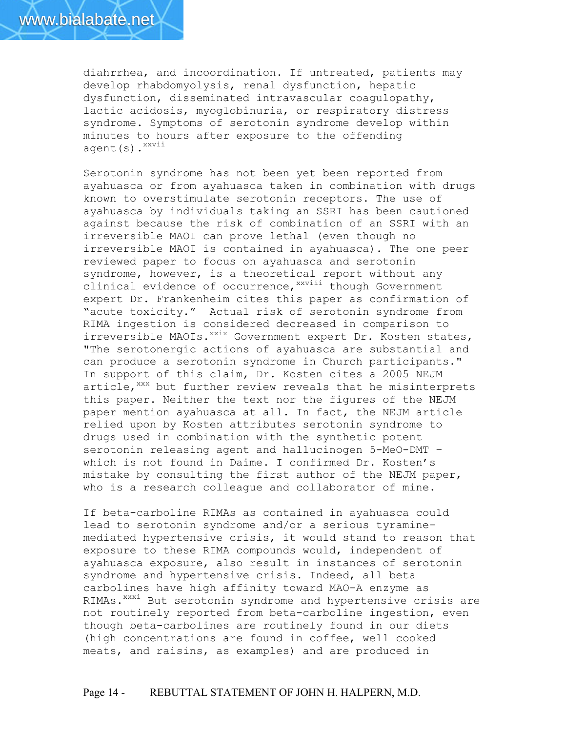diahrrhea, and incoordination. If untreated, patients may develop rhabdomyolysis, renal dysfunction, hepatic dysfunction, disseminated intravascular coagulopathy, lactic acidosis, myoglobinuria, or respiratory distress syndrome. Symptoms of serotonin syndrome develop within minutes to hours after exposure to the offending agent(s).<sup>xxvii</sup>

Serotonin syndrome has not been yet been reported from ayahuasca or from ayahuasca taken in combination with drugs known to overstimulate serotonin receptors. The use of ayahuasca by individuals taking an SSRI has been cautioned against because the risk of combination of an SSRI with an irreversible MAOI can prove lethal (even though no irreversible MAOI is contained in ayahuasca). The one peer reviewed paper to focus on ayahuasca and serotonin syndrome, however, is a theoretical report without any clinical evidence of occurrence, xxviii though Government expert Dr. Frankenheim cites this paper as confirmation of "acute toxicity." Actual risk of serotonin syndrome from RIMA ingestion is considered decreased in comparison to irreversible MAOIs. XXIX Government expert Dr. Kosten states, "The serotonergic actions of ayahuasca are substantial and can produce a serotonin syndrome in Church participants." In support of this claim, Dr. Kosten cites a 2005 NEJM article,<sup>xxx</sup> but further review reveals that he misinterprets this paper. Neither the text nor the figures of the NEJM paper mention ayahuasca at all. In fact, the NEJM article relied upon by Kosten attributes serotonin syndrome to drugs used in combination with the synthetic potent serotonin releasing agent and hallucinogen 5-MeO-DMT – which is not found in Daime. I confirmed Dr. Kosten's mistake by consulting the first author of the NEJM paper, who is a research colleague and collaborator of mine.

If beta-carboline RIMAs as contained in ayahuasca could lead to serotonin syndrome and/or a serious tyraminemediated hypertensive crisis, it would stand to reason that exposure to these RIMA compounds would, independent of ayahuasca exposure, also result in instances of serotonin syndrome and hypertensive crisis. Indeed, all beta carbolines have high affinity toward MAO-A enzyme as RIMAs.<sup>xxxi</sup> But serotonin syndrome and hypertensive crisis are not routinely reported from beta-carboline ingestion, even though beta-carbolines are routinely found in our diets (high concentrations are found in coffee, well cooked meats, and raisins, as examples) and are produced in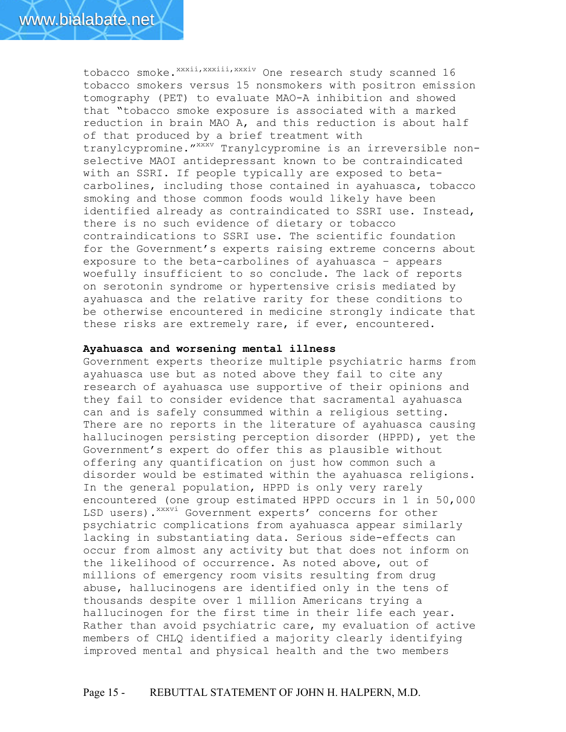tobacco smoke. xxxii, xxxiii, xxxiv One research study scanned 16 tobacco smokers versus 15 nonsmokers with positron emission tomography (PET) to evaluate MAO-A inhibition and showed that "tobacco smoke exposure is associated with a marked reduction in brain MAO A, and this reduction is about half of that produced by a brief treatment with tranylcypromine."<sup>xxxv</sup> Tranylcypromine is an irreversible nonselective MAOI antidepressant known to be contraindicated with an SSRI. If people typically are exposed to betacarbolines, including those contained in ayahuasca, tobacco smoking and those common foods would likely have been identified already as contraindicated to SSRI use. Instead, there is no such evidence of dietary or tobacco contraindications to SSRI use. The scientific foundation for the Government's experts raising extreme concerns about exposure to the beta-carbolines of ayahuasca – appears woefully insufficient to so conclude. The lack of reports on serotonin syndrome or hypertensive crisis mediated by ayahuasca and the relative rarity for these conditions to be otherwise encountered in medicine strongly indicate that these risks are extremely rare, if ever, encountered.

#### **Ayahuasca and worsening mental illness**

Government experts theorize multiple psychiatric harms from ayahuasca use but as noted above they fail to cite any research of ayahuasca use supportive of their opinions and they fail to consider evidence that sacramental ayahuasca can and is safely consummed within a religious setting. There are no reports in the literature of ayahuasca causing hallucinogen persisting perception disorder (HPPD), yet the Government's expert do offer this as plausible without offering any quantification on just how common such a disorder would be estimated within the ayahuasca religions. In the general population, HPPD is only very rarely encountered (one group estimated HPPD occurs in 1 in 50,000 LSD users). XXXVi Government experts' concerns for other psychiatric complications from ayahuasca appear similarly lacking in substantiating data. Serious side-effects can occur from almost any activity but that does not inform on the likelihood of occurrence. As noted above, out of millions of emergency room visits resulting from drug abuse, hallucinogens are identified only in the tens of thousands despite over 1 million Americans trying a hallucinogen for the first time in their life each year. Rather than avoid psychiatric care, my evaluation of active members of CHLQ identified a majority clearly identifying improved mental and physical health and the two members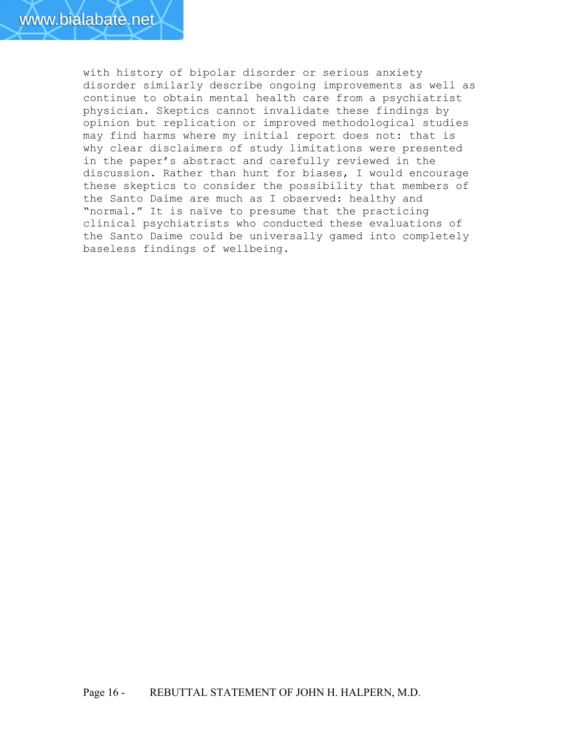with history of bipolar disorder or serious anxiety disorder similarly describe ongoing improvements as well as continue to obtain mental health care from a psychiatrist physician. Skeptics cannot invalidate these findings by opinion but replication or improved methodological studies may find harms where my initial report does not: that is why clear disclaimers of study limitations were presented in the paper's abstract and carefully reviewed in the discussion. Rather than hunt for biases, I would encourage these skeptics to consider the possibility that members of the Santo Daime are much as I observed: healthy and "normal." It is naïve to presume that the practicing clinical psychiatrists who conducted these evaluations of the Santo Daime could be universally gamed into completely baseless findings of wellbeing.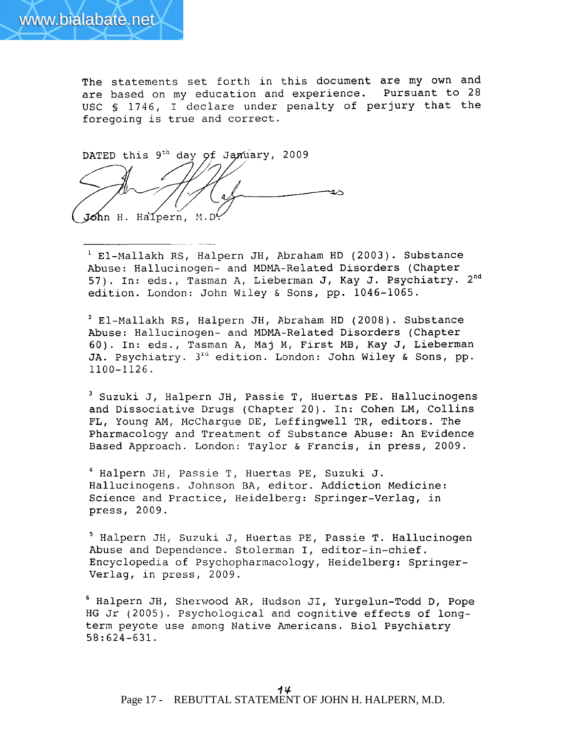The statements set forth in this document are my own and are based on my education and experience. Pursuant to 28 USC § 1746, I declare under penalty of perjury that the foregoing is true and correct.

DATED this 9<sup>th</sup> day of January, 2009 John H. Halpern, M.D.

<sup>1</sup> El-Mallakh RS, Halpern JH, Abraham HD (2003). Substance Abuse: Hallucinogen- and MDMA-Related Disorders (Chapter 57). In: eds., Tasman A, Lieberman J, Kay J. Psychiatry. 2<sup>nd</sup> edition. London: John Wiley & Sons, pp. 1046-1065.

<sup>2</sup> El-Mallakh RS, Halpern JH, Abraham HD (2008). Substance Abuse: Hallucinogen- and MDMA-Related Disorders (Chapter 60). In: eds., Tasman A, Maj M, First MB, Kay J, Lieberman JA. Psychiatry. 3<sup>rd</sup> edition. London: John Wiley & Sons, pp.  $1100 - 1126$ .

<sup>3</sup> Suzuki J, Halpern JH, Passie T, Huertas PE. Hallucinogens and Dissociative Drugs (Chapter 20). In: Cohen LM, Collins FL, Young AM, McCharque DE, Leffingwell TR, editors. The Pharmacology and Treatment of Substance Abuse: An Evidence Based Approach. London: Taylor & Francis, in press, 2009.

<sup>4</sup> Halpern JH, Passie T, Huertas PE, Suzuki J. Hallucinogens. Johnson BA, editor. Addiction Medicine: Science and Practice, Heidelberg: Springer-Verlag, in press, 2009.

<sup>5</sup> Halpern JH, Suzuki J, Huertas PE, Passie T. Hallucinogen Abuse and Dependence. Stolerman I, editor-in-chief. Encyclopedia of Psychopharmacology, Heidelberg: Springer-Verlag, in press, 2009.

<sup>6</sup> Halpern JH, Sherwood AR, Hudson JI, Yurgelun-Todd D, Pope HG Jr (2005). Psychological and cognitive effects of longterm peyote use among Native Americans. Biol Psychiatry  $58:624-631.$ 

Page 17 - REBUTTAL STATEMENT OF JOHN H. HALPERN, M.D.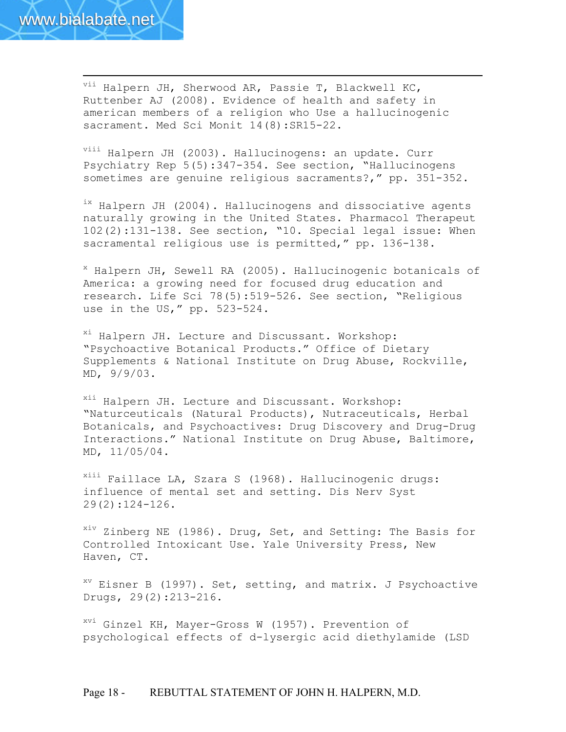

 $\overline{a}$ 

vii Halpern JH, Sherwood AR, Passie T, Blackwell KC, Ruttenber AJ (2008). Evidence of health and safety in american members of a religion who Use a hallucinogenic sacrament. Med Sci Monit 14(8): SR15-22.

viii Halpern JH (2003). Hallucinogens: an update. Curr Psychiatry Rep 5(5):347-354. See section, "Hallucinogens sometimes are genuine religious sacraments?," pp. 351-352.

<sup>ix</sup> Halpern JH (2004). Hallucinogens and dissociative agents naturally growing in the United States. Pharmacol Therapeut 102(2):131-138. See section, "10. Special legal issue: When sacramental religious use is permitted," pp. 136-138.

<sup>x</sup> Halpern JH, Sewell RA (2005). Hallucinogenic botanicals of America: a growing need for focused drug education and research. Life Sci 78(5):519-526. See section, "Religious use in the US," pp. 523-524.

xi Halpern JH. Lecture and Discussant. Workshop: "Psychoactive Botanical Products." Office of Dietary Supplements & National Institute on Drug Abuse, Rockville, MD, 9/9/03.

<sup>xii</sup> Halpern JH. Lecture and Discussant. Workshop: "Naturceuticals (Natural Products), Nutraceuticals, Herbal Botanicals, and Psychoactives: Drug Discovery and Drug-Drug Interactions." National Institute on Drug Abuse, Baltimore, MD, 11/05/04.

xiii Faillace LA, Szara S (1968). Hallucinogenic drugs: influence of mental set and setting. Dis Nerv Syst 29(2):124-126.

<sup>xiv</sup> Zinberg NE (1986). Drug, Set, and Setting: The Basis for Controlled Intoxicant Use. Yale University Press, New Haven, CT.

 $X^V$  Eisner B (1997). Set, setting, and matrix. J Psychoactive Drugs, 29(2):213-216.

<sup>xvi</sup> Ginzel KH, Mayer-Gross W (1957). Prevention of psychological effects of d-lysergic acid diethylamide (LSD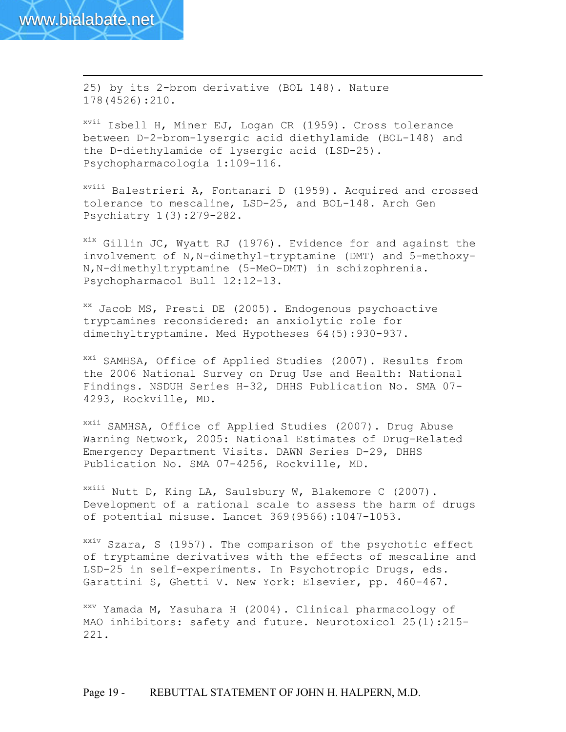$\overline{a}$ 

25) by its 2-brom derivative (BOL 148). Nature 178(4526):210.

xvii Isbell H, Miner EJ, Logan CR (1959). Cross tolerance between D-2-brom-lysergic acid diethylamide (BOL-148) and the D-diethylamide of lysergic acid (LSD-25). Psychopharmacologia 1:109-116.

xviii Balestrieri A, Fontanari D (1959). Acquired and crossed tolerance to mescaline, LSD-25, and BOL-148. Arch Gen Psychiatry 1(3):279-282.

 $x$ <sup>ix</sup> Gillin JC, Wyatt RJ (1976). Evidence for and against the involvement of N,N-dimethyl-tryptamine (DMT) and 5-methoxy-N,N-dimethyltryptamine (5-MeO-DMT) in schizophrenia. Psychopharmacol Bull 12:12-13.

xx Jacob MS, Presti DE (2005). Endogenous psychoactive tryptamines reconsidered: an anxiolytic role for dimethyltryptamine. Med Hypotheses 64(5):930-937.

<sup>xxi</sup> SAMHSA, Office of Applied Studies (2007). Results from the 2006 National Survey on Drug Use and Health: National Findings. NSDUH Series H-32, DHHS Publication No. SMA 07- 4293, Rockville, MD.

xxii SAMHSA, Office of Applied Studies (2007). Drug Abuse Warning Network, 2005: National Estimates of Drug-Related Emergency Department Visits. DAWN Series D-29, DHHS Publication No. SMA 07-4256, Rockville, MD.

xxiii Nutt D, King LA, Saulsbury W, Blakemore C (2007). Development of a rational scale to assess the harm of drugs of potential misuse. Lancet 369(9566):1047-1053.

xxiv Szara, S (1957). The comparison of the psychotic effect of tryptamine derivatives with the effects of mescaline and LSD-25 in self-experiments. In Psychotropic Drugs, eds. Garattini S, Ghetti V. New York: Elsevier, pp. 460-467.

xxv Yamada M, Yasuhara H (2004). Clinical pharmacology of MAO inhibitors: safety and future. Neurotoxicol 25(1):215- 221.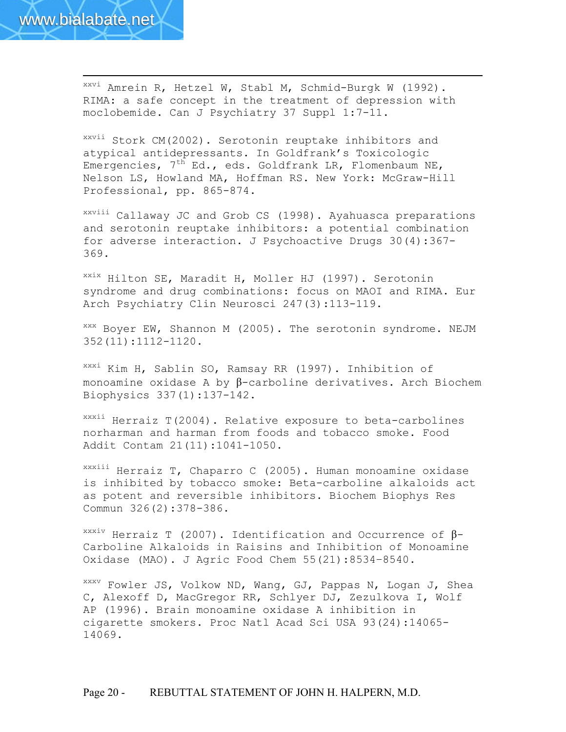

 $\overline{a}$ 

xxvi Amrein R, Hetzel W, Stabl M, Schmid-Burgk W (1992). RIMA: a safe concept in the treatment of depression with moclobemide. Can J Psychiatry 37 Suppl 1:7-11.

xxvii Stork CM(2002). Serotonin reuptake inhibitors and atypical antidepressants. In Goldfrank's Toxicologic Emergencies,  $7^{th}$  Ed., eds. Goldfrank LR, Flomenbaum NE, Nelson LS, Howland MA, Hoffman RS. New York: McGraw-Hill Professional, pp. 865-874.

xxviii Callaway JC and Grob CS (1998). Ayahuasca preparations and serotonin reuptake inhibitors: a potential combination for adverse interaction. J Psychoactive Drugs 30(4):367- 369.

xxix Hilton SE, Maradit H, Moller HJ (1997). Serotonin syndrome and drug combinations: focus on MAOI and RIMA. Eur Arch Psychiatry Clin Neurosci 247(3):113-119.

xxx Boyer EW, Shannon M (2005). The serotonin syndrome. NEJM 352(11):1112-1120.

xxxi Kim H, Sablin SO, Ramsay RR (1997). Inhibition of monoamine oxidase A by β-carboline derivatives. Arch Biochem Biophysics 337(1):137-142.

xxxii Herraiz T(2004). Relative exposure to beta-carbolines norharman and harman from foods and tobacco smoke. Food Addit Contam 21(11):1041-1050.

xxxiii Herraiz T, Chaparro C (2005). Human monoamine oxidase is inhibited by tobacco smoke: Beta-carboline alkaloids act as potent and reversible inhibitors. Biochem Biophys Res Commun 326(2):378-386.

<sup>xxxiv</sup> Herraiz T (2007). Identification and Occurrence of  $\beta$ -Carboline Alkaloids in Raisins and Inhibition of Monoamine Oxidase (MAO). J Agric Food Chem 55(21):8534–8540.

xxxv Fowler JS, Volkow ND, Wang, GJ, Pappas N, Logan J, Shea C, Alexoff D, MacGregor RR, Schlyer DJ, Zezulkova I, Wolf AP (1996). Brain monoamine oxidase A inhibition in cigarette smokers. Proc Natl Acad Sci USA 93(24):14065- 14069.